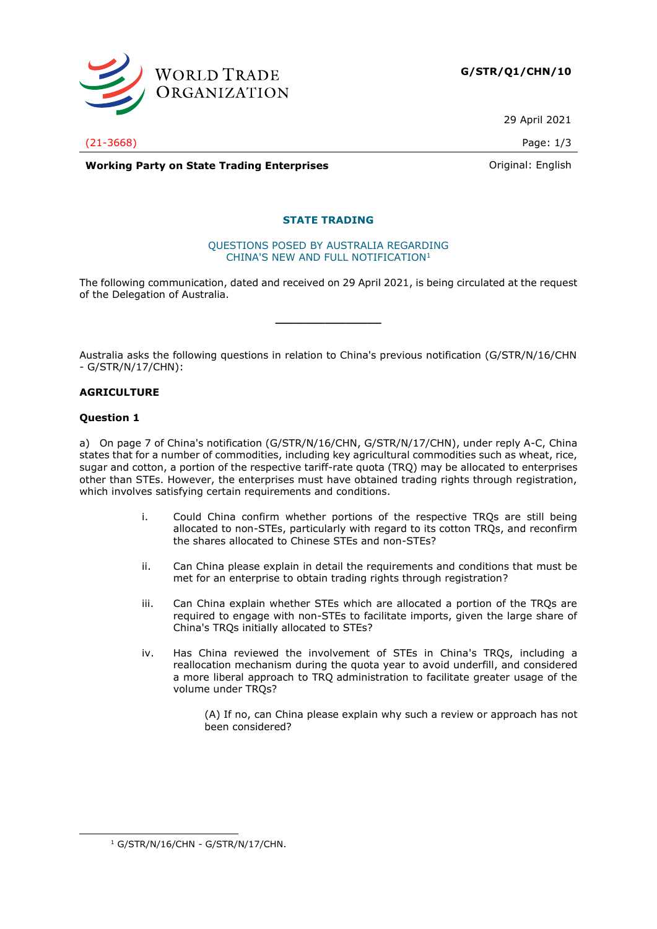

29 April 2021

(21-3668) Page: 1/3

**Working Party on State Trading Enterprises Construction Construction Construction** Original: English

# **STATE TRADING**

### QUESTIONS POSED BY AUSTRALIA REGARDING CHINA'S NEW AND FULL NOTIFICATION<sup>1</sup>

The following communication, dated and received on 29 April 2021, is being circulated at the request of the Delegation of Australia.

**\_\_\_\_\_\_\_\_\_\_\_\_\_\_\_**

Australia asks the following questions in relation to China's previous notification (G/STR/N/16/CHN - G/STR/N/17/CHN):

# **AGRICULTURE**

# **Question 1**

a) On page 7 of China's notification (G/STR/N/16/CHN, G/STR/N/17/CHN), under reply A-C, China states that for a number of commodities, including key agricultural commodities such as wheat, rice, sugar and cotton, a portion of the respective tariff-rate quota (TRQ) may be allocated to enterprises other than STEs. However, the enterprises must have obtained trading rights through registration, which involves satisfying certain requirements and conditions.

- i. Could China confirm whether portions of the respective TRQs are still being allocated to non-STEs, particularly with regard to its cotton TRQs, and reconfirm the shares allocated to Chinese STEs and non-STEs?
- ii. Can China please explain in detail the requirements and conditions that must be met for an enterprise to obtain trading rights through registration?
- iii. Can China explain whether STEs which are allocated a portion of the TRQs are required to engage with non-STEs to facilitate imports, given the large share of China's TRQs initially allocated to STEs?
- iv. Has China reviewed the involvement of STEs in China's TRQs, including a reallocation mechanism during the quota year to avoid underfill, and considered a more liberal approach to TRQ administration to facilitate greater usage of the volume under TRQs?

(A) If no, can China please explain why such a review or approach has not been considered?

 $1$  G/STR/N/16/CHN - G/STR/N/17/CHN.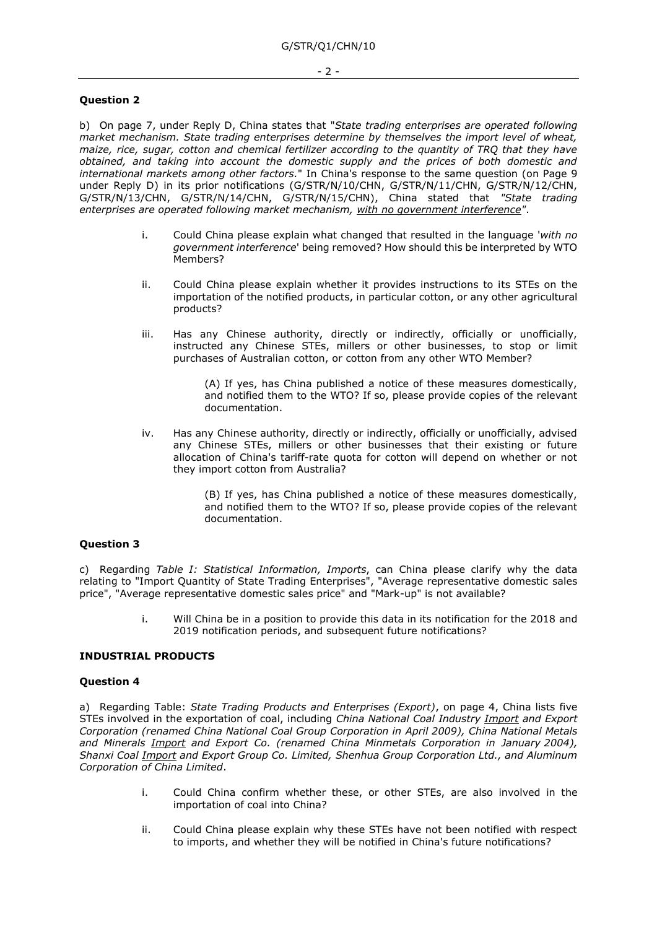## **Question 2**

b) On page 7, under Reply D, China states that "*State trading enterprises are operated following market mechanism. State trading enterprises determine by themselves the import level of wheat, maize, rice, sugar, cotton and chemical fertilizer according to the quantity of TRQ that they have obtained, and taking into account the domestic supply and the prices of both domestic and international markets among other factors.*" In China's response to the same question (on Page 9 under Reply D) in its prior notifications (G/STR/N/10/CHN, G/STR/N/11/CHN, G/STR/N/12/CHN, G/STR/N/13/CHN, G/STR/N/14/CHN, G/STR/N/15/CHN), China stated that *"State trading enterprises are operated following market mechanism, with no government interference"*.

- i. Could China please explain what changed that resulted in the language '*with no government interference*' being removed? How should this be interpreted by WTO Members?
- ii. Could China please explain whether it provides instructions to its STEs on the importation of the notified products, in particular cotton, or any other agricultural products?
- iii. Has any Chinese authority, directly or indirectly, officially or unofficially, instructed any Chinese STEs, millers or other businesses, to stop or limit purchases of Australian cotton, or cotton from any other WTO Member?

(A) If yes, has China published a notice of these measures domestically, and notified them to the WTO? If so, please provide copies of the relevant documentation.

iv. Has any Chinese authority, directly or indirectly, officially or unofficially, advised any Chinese STEs, millers or other businesses that their existing or future allocation of China's tariff-rate quota for cotton will depend on whether or not they import cotton from Australia?

> (B) If yes, has China published a notice of these measures domestically, and notified them to the WTO? If so, please provide copies of the relevant documentation.

#### **Question 3**

c) Regarding *Table I: Statistical Information, Imports*, can China please clarify why the data relating to "Import Quantity of State Trading Enterprises", "Average representative domestic sales price", "Average representative domestic sales price" and "Mark-up" is not available?

> i. Will China be in a position to provide this data in its notification for the 2018 and 2019 notification periods, and subsequent future notifications?

### **INDUSTRIAL PRODUCTS**

## **Question 4**

a) Regarding Table: *State Trading Products and Enterprises (Export)*, on page 4, China lists five STEs involved in the exportation of coal, including *China National Coal Industry Import and Export Corporation (renamed China National Coal Group Corporation in April 2009), China National Metals and Minerals Import and Export Co. (renamed China Minmetals Corporation in January 2004), Shanxi Coal Import and Export Group Co. Limited, Shenhua Group Corporation Ltd., and Aluminum Corporation of China Limited*.

- i. Could China confirm whether these, or other STEs, are also involved in the importation of coal into China?
- ii. Could China please explain why these STEs have not been notified with respect to imports, and whether they will be notified in China's future notifications?